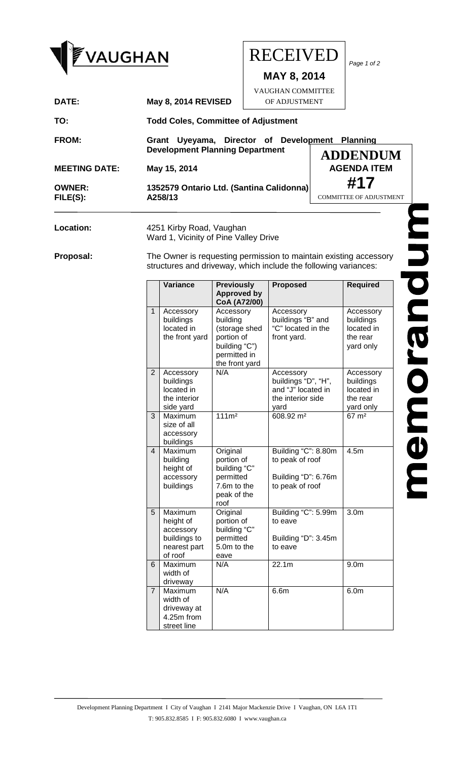

## $\begin{array}{ccc} \textsf{\textcolor{blue}{\textbf{VAUGHAN}}} & \textsf{\textcolor{blue}{\textbf{RECEIVED}}} \mid_{\tiny \textsf{\textcolor{blue}{Page 1 of 2}}} \end{array}$ RECEIVED

**MAY 8, 2014** VAUGHAN COMMITTEE

OF ADJUSTMENT

| DATE:                     | <b>May 8, 2014 REVISED</b>                                                       | OF ADJUSTMENT |                                       |
|---------------------------|----------------------------------------------------------------------------------|---------------|---------------------------------------|
| TO:                       | <b>Todd Coles, Committee of Adjustment</b>                                       |               |                                       |
| <b>FROM:</b>              | Grant Uyeyama, Director of Development<br><b>Development Planning Department</b> |               | <b>Planning</b><br><b>ADDENDUM</b>    |
| <b>MEETING DATE:</b>      | May 15, 2014                                                                     |               | <b>AGENDA ITEM</b>                    |
| <b>OWNER:</b><br>FILE(S): | 1352579 Ontario Ltd. (Santina Calidonna)<br>A258/13                              |               | #17<br><b>COMMITTEE OF ADJUSTMENT</b> |
|                           |                                                                                  |               |                                       |

## Location: 4251 Kirby Road, Vaughan Ward 1, Vicinity of Pine Valley Drive

**Proposal:** The Owner is requesting permission to maintain existing accessory structures and driveway, which include the following variances:

|                | Variance                                                                     | <b>Previously</b><br><b>Approved by</b><br>CoA (A72/00)                                                 | <b>Proposed</b>                                                                     | <b>Required</b>                                               |
|----------------|------------------------------------------------------------------------------|---------------------------------------------------------------------------------------------------------|-------------------------------------------------------------------------------------|---------------------------------------------------------------|
| $\mathbf{1}$   | Accessory<br>buildings<br>located in<br>the front yard                       | Accessory<br>building<br>(storage shed<br>portion of<br>building "C")<br>permitted in<br>the front yard | Accessory<br>buildings "B" and<br>"C" located in the<br>front yard.                 | Accessory<br>buildings<br>located in<br>the rear<br>yard only |
| $\overline{2}$ | Accessory<br>buildings<br>located in<br>the interior<br>side yard            | N/A                                                                                                     | Accessory<br>buildings "D", "H",<br>and "J" located in<br>the interior side<br>yard | Accessory<br>buildings<br>located in<br>the rear<br>yard only |
| 3              | Maximum<br>size of all<br>accessory<br>buildings                             | 111m <sup>2</sup>                                                                                       | 608.92 m <sup>2</sup>                                                               | $67 \; \text{m}^2$                                            |
| 4              | Maximum<br>building<br>height of<br>accessory<br>buildings                   | Original<br>portion of<br>building "C"<br>permitted<br>7.6m to the<br>peak of the<br>roof               | Building "C": 8.80m<br>to peak of roof<br>Building "D": 6.76m<br>to peak of roof    | 4.5 <sub>m</sub>                                              |
| 5              | Maximum<br>height of<br>accessory<br>buildings to<br>nearest part<br>of roof | Original<br>portion of<br>building "C"<br>permitted<br>5.0m to the<br>eave                              | Building "C": 5.99m<br>to eave<br>Building "D": 3.45m<br>to eave                    | 3.0 <sub>m</sub>                                              |
| 6              | Maximum<br>width of<br>driveway                                              | N/A                                                                                                     | 22.1 <sub>m</sub>                                                                   | 9.0 <sub>m</sub>                                              |
| $\overline{7}$ | Maximum<br>width of<br>driveway at<br>4.25m from<br>street line              | N/A                                                                                                     | 6.6m                                                                                | 6.0 <sub>m</sub>                                              |